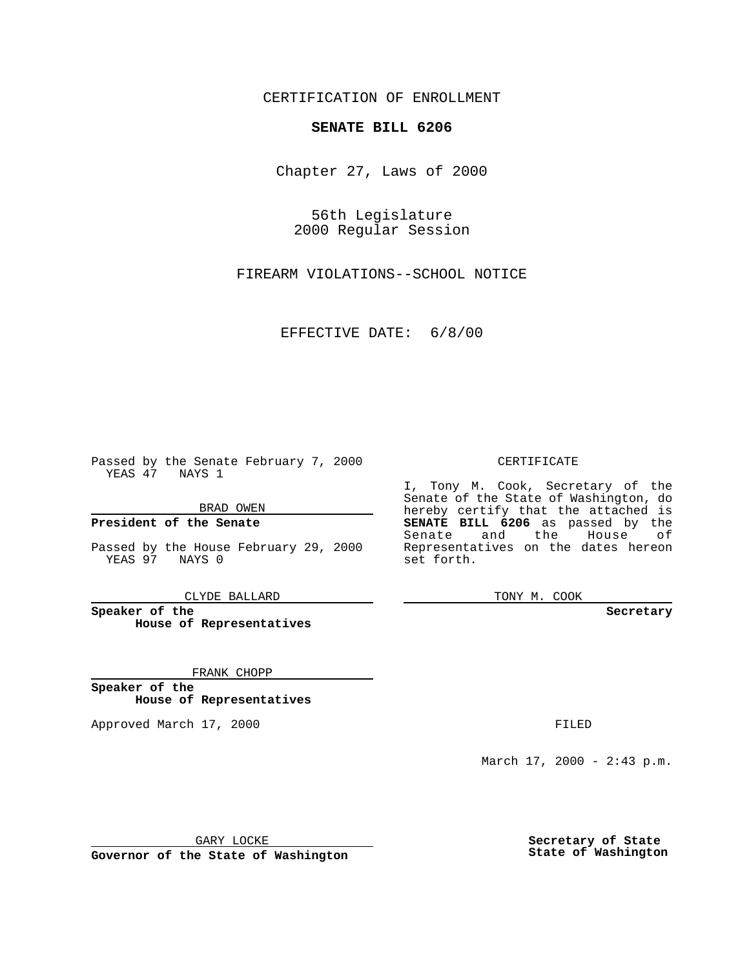CERTIFICATION OF ENROLLMENT

## **SENATE BILL 6206**

Chapter 27, Laws of 2000

56th Legislature 2000 Regular Session

FIREARM VIOLATIONS--SCHOOL NOTICE

#### EFFECTIVE DATE: 6/8/00

Passed by the Senate February 7, 2000 YEAS 47 NAYS 1

BRAD OWEN

**President of the Senate**

Passed by the House February 29, 2000 YEAS 97 NAYS 0

CLYDE BALLARD

**Speaker of the House of Representatives**

FRANK CHOPP

**Speaker of the House of Representatives**

Approved March 17, 2000 FILED

#### CERTIFICATE

I, Tony M. Cook, Secretary of the Senate of the State of Washington, do hereby certify that the attached is **SENATE BILL 6206** as passed by the Senate and the House of Representatives on the dates hereon set forth.

TONY M. COOK

**Secretary**

March 17, 2000 - 2:43 p.m.

GARY LOCKE

**Governor of the State of Washington**

**Secretary of State State of Washington**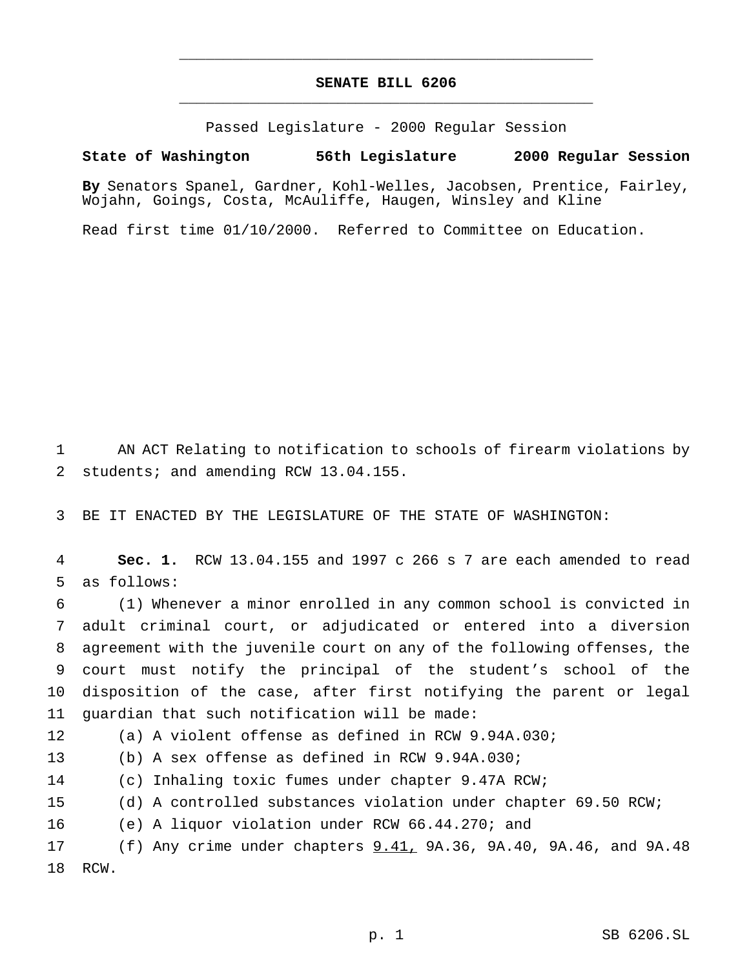# **SENATE BILL 6206** \_\_\_\_\_\_\_\_\_\_\_\_\_\_\_\_\_\_\_\_\_\_\_\_\_\_\_\_\_\_\_\_\_\_\_\_\_\_\_\_\_\_\_\_\_\_\_

\_\_\_\_\_\_\_\_\_\_\_\_\_\_\_\_\_\_\_\_\_\_\_\_\_\_\_\_\_\_\_\_\_\_\_\_\_\_\_\_\_\_\_\_\_\_\_

Passed Legislature - 2000 Regular Session

### **State of Washington 56th Legislature 2000 Regular Session**

**By** Senators Spanel, Gardner, Kohl-Welles, Jacobsen, Prentice, Fairley, Wojahn, Goings, Costa, McAuliffe, Haugen, Winsley and Kline

Read first time 01/10/2000. Referred to Committee on Education.

 AN ACT Relating to notification to schools of firearm violations by 2 students; and amending RCW 13.04.155.

BE IT ENACTED BY THE LEGISLATURE OF THE STATE OF WASHINGTON:

 **Sec. 1.** RCW 13.04.155 and 1997 c 266 s 7 are each amended to read as follows:

 (1) Whenever a minor enrolled in any common school is convicted in adult criminal court, or adjudicated or entered into a diversion agreement with the juvenile court on any of the following offenses, the court must notify the principal of the student's school of the disposition of the case, after first notifying the parent or legal guardian that such notification will be made:

(a) A violent offense as defined in RCW 9.94A.030;

(b) A sex offense as defined in RCW 9.94A.030;

(c) Inhaling toxic fumes under chapter 9.47A RCW;

(d) A controlled substances violation under chapter 69.50 RCW;

(e) A liquor violation under RCW 66.44.270; and

 (f) Any crime under chapters 9.41, 9A.36, 9A.40, 9A.46, and 9A.48 RCW.